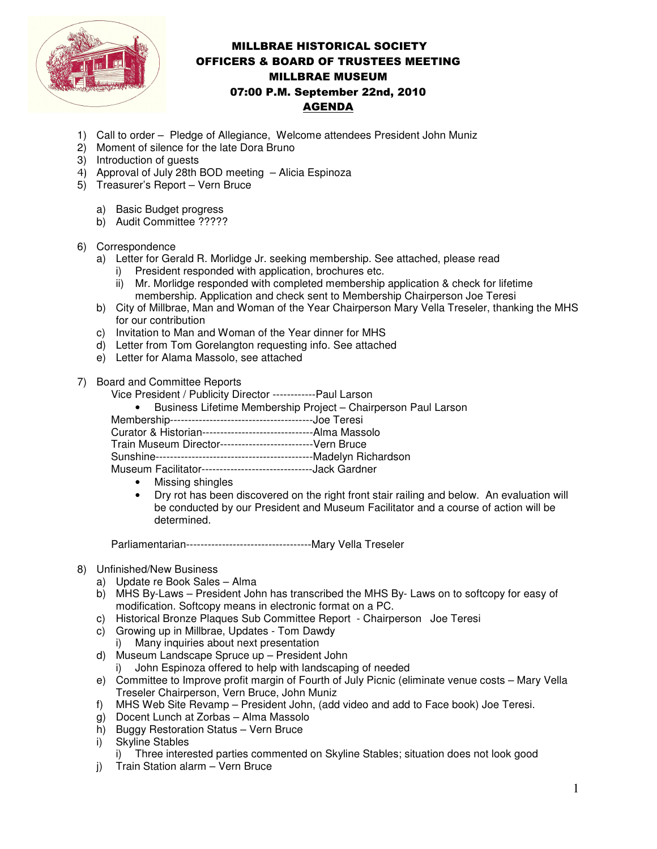

## MILLBRAE HISTORICAL SOCIETY OFFICERS & BOARD OF TRUSTEES MEETING MILLBRAE MUSEUM 07:00 P.M. September 22nd, 2010 AGENDA

- 1) Call to order Pledge of Allegiance, Welcome attendees President John Muniz
- 2) Moment of silence for the late Dora Bruno
- 3) Introduction of guests
- 4) Approval of July 28th BOD meeting Alicia Espinoza
- 5) Treasurer's Report Vern Bruce
	- a) Basic Budget progress
	- b) Audit Committee ?????
- 6) Correspondence
	- a) Letter for Gerald R. Morlidge Jr. seeking membership. See attached, please read
		- i) President responded with application, brochures etc.
		- ii) Mr. Morlidge responded with completed membership application & check for lifetime membership. Application and check sent to Membership Chairperson Joe Teresi
	- b) City of Millbrae, Man and Woman of the Year Chairperson Mary Vella Treseler, thanking the MHS for our contribution
	- c) Invitation to Man and Woman of the Year dinner for MHS
	- d) Letter from Tom Gorelangton requesting info. See attached
	- e) Letter for Alama Massolo, see attached
- 7) Board and Committee Reports
	- Vice President / Publicity Director ------------Paul Larson
		- Business Lifetime Membership Project Chairperson Paul Larson

| Curator & Historian-------------------------------Alma Massolo |  |
|----------------------------------------------------------------|--|

Train Museum Director--------------------------Vern Bruce

Sunshine--------------------------------------------Madelyn Richardson

Museum Facilitator-------------------------------Jack Gardner

- Missing shingles
- Dry rot has been discovered on the right front stair railing and below. An evaluation will be conducted by our President and Museum Facilitator and a course of action will be determined.

Parliamentarian-----------------------------------Mary Vella Treseler

## 8) Unfinished/New Business

- a) Update re Book Sales Alma
- b) MHS By-Laws President John has transcribed the MHS By- Laws on to softcopy for easy of modification. Softcopy means in electronic format on a PC.
- c) Historical Bronze Plaques Sub Committee Report Chairperson Joe Teresi
- c) Growing up in Millbrae, Updates Tom Dawdy
	- i) Many inquiries about next presentation
- d) Museum Landscape Spruce up President John
	- i) John Espinoza offered to help with landscaping of needed
- e) Committee to Improve profit margin of Fourth of July Picnic (eliminate venue costs Mary Vella Treseler Chairperson, Vern Bruce, John Muniz
- f) MHS Web Site Revamp President John, (add video and add to Face book) Joe Teresi.
- g) Docent Lunch at Zorbas Alma Massolo
- h) Buggy Restoration Status Vern Bruce
- i) Skyline Stables
	- i) Three interested parties commented on Skyline Stables; situation does not look good
- j) Train Station alarm Vern Bruce